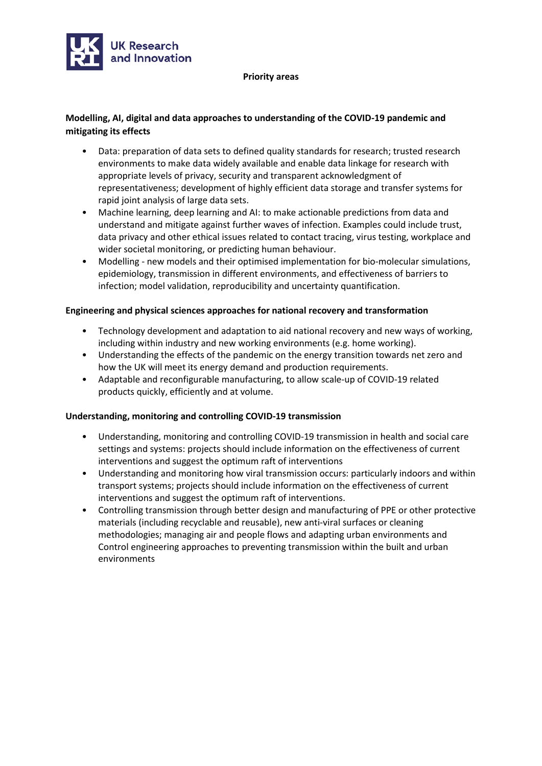

#### **Priority areas**

# **Modelling, AI, digital and data approaches to understanding of the COVID-19 pandemic and mitigating its effects**

- Data: preparation of data sets to defined quality standards for research; trusted research environments to make data widely available and enable data linkage for research with appropriate levels of privacy, security and transparent acknowledgment of representativeness; development of highly efficient data storage and transfer systems for rapid joint analysis of large data sets.
- Machine learning, deep learning and AI: to make actionable predictions from data and understand and mitigate against further waves of infection. Examples could include trust, data privacy and other ethical issues related to contact tracing, virus testing, workplace and wider societal monitoring, or predicting human behaviour.
- Modelling new models and their optimised implementation for bio-molecular simulations, epidemiology, transmission in different environments, and effectiveness of barriers to infection; model validation, reproducibility and uncertainty quantification.

## **Engineering and physical sciences approaches for national recovery and transformation**

- Technology development and adaptation to aid national recovery and new ways of working, including within industry and new working environments (e.g. home working).
- Understanding the effects of the pandemic on the energy transition towards net zero and how the UK will meet its energy demand and production requirements.
- Adaptable and reconfigurable manufacturing, to allow scale-up of COVID-19 related products quickly, efficiently and at volume.

#### **Understanding, monitoring and controlling COVID-19 transmission**

- Understanding, monitoring and controlling COVID-19 transmission in health and social care settings and systems: projects should include information on the effectiveness of current interventions and suggest the optimum raft of interventions
- Understanding and monitoring how viral transmission occurs: particularly indoors and within transport systems; projects should include information on the effectiveness of current interventions and suggest the optimum raft of interventions.
- Controlling transmission through better design and manufacturing of PPE or other protective materials (including recyclable and reusable), new anti-viral surfaces or cleaning methodologies; managing air and people flows and adapting urban environments and Control engineering approaches to preventing transmission within the built and urban environments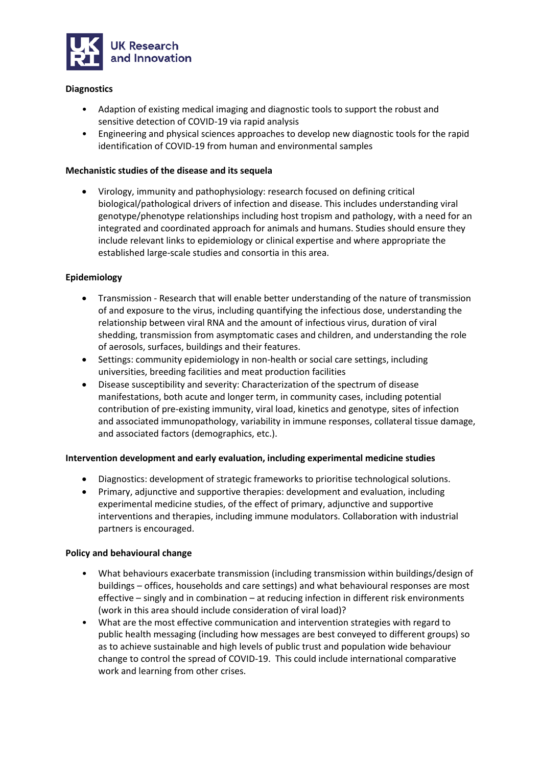

## **Diagnostics**

- Adaption of existing medical imaging and diagnostic tools to support the robust and sensitive detection of COVID-19 via rapid analysis
- Engineering and physical sciences approaches to develop new diagnostic tools for the rapid identification of COVID-19 from human and environmental samples

### **Mechanistic studies of the disease and its sequela**

• Virology, immunity and pathophysiology: research focused on defining critical biological/pathological drivers of infection and disease. This includes understanding viral genotype/phenotype relationships including host tropism and pathology, with a need for an integrated and coordinated approach for animals and humans. Studies should ensure they include relevant links to epidemiology or clinical expertise and where appropriate the established large-scale studies and consortia in this area.

#### **Epidemiology**

- Transmission Research that will enable better understanding of the nature of transmission of and exposure to the virus, including quantifying the infectious dose, understanding the relationship between viral RNA and the amount of infectious virus, duration of viral shedding, transmission from asymptomatic cases and children, and understanding the role of aerosols, surfaces, buildings and their features.
- Settings: community epidemiology in non-health or social care settings, including universities, breeding facilities and meat production facilities
- Disease susceptibility and severity: Characterization of the spectrum of disease manifestations, both acute and longer term, in community cases, including potential contribution of pre-existing immunity, viral load, kinetics and genotype, sites of infection and associated immunopathology, variability in immune responses, collateral tissue damage, and associated factors (demographics, etc.).

#### **Intervention development and early evaluation, including experimental medicine studies**

- Diagnostics: development of strategic frameworks to prioritise technological solutions.
- Primary, adjunctive and supportive therapies: development and evaluation, including experimental medicine studies, of the effect of primary, adjunctive and supportive interventions and therapies, including immune modulators. Collaboration with industrial partners is encouraged.

#### **Policy and behavioural change**

- What behaviours exacerbate transmission (including transmission within buildings/design of buildings – offices, households and care settings) and what behavioural responses are most effective – singly and in combination – at reducing infection in different risk environments (work in this area should include consideration of viral load)?
- What are the most effective communication and intervention strategies with regard to public health messaging (including how messages are best conveyed to different groups) so as to achieve sustainable and high levels of public trust and population wide behaviour change to control the spread of COVID-19. This could include international comparative work and learning from other crises.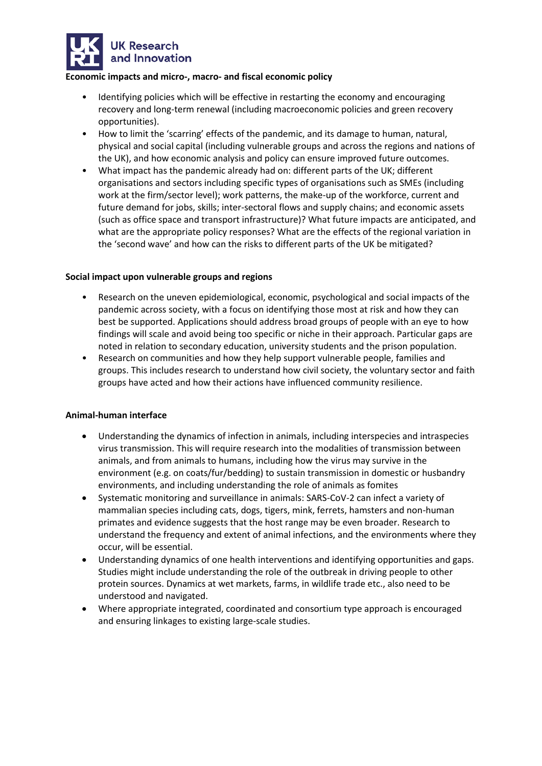

#### **Economic impacts and micro-, macro- and fiscal economic policy**

- Identifying policies which will be effective in restarting the economy and encouraging recovery and long-term renewal (including macroeconomic policies and green recovery opportunities).
- How to limit the 'scarring' effects of the pandemic, and its damage to human, natural, physical and social capital (including vulnerable groups and across the regions and nations of the UK), and how economic analysis and policy can ensure improved future outcomes.
- What impact has the pandemic already had on: different parts of the UK; different organisations and sectors including specific types of organisations such as SMEs (including work at the firm/sector level); work patterns, the make-up of the workforce, current and future demand for jobs, skills; inter-sectoral flows and supply chains; and economic assets (such as office space and transport infrastructure)? What future impacts are anticipated, and what are the appropriate policy responses? What are the effects of the regional variation in the 'second wave' and how can the risks to different parts of the UK be mitigated?

## **Social impact upon vulnerable groups and regions**

- Research on the uneven epidemiological, economic, psychological and social impacts of the pandemic across society, with a focus on identifying those most at risk and how they can best be supported. Applications should address broad groups of people with an eye to how findings will scale and avoid being too specific or niche in their approach. Particular gaps are noted in relation to secondary education, university students and the prison population.
- Research on communities and how they help support vulnerable people, families and groups. This includes research to understand how civil society, the voluntary sector and faith groups have acted and how their actions have influenced community resilience.

#### **Animal-human interface**

- Understanding the dynamics of infection in animals, including interspecies and intraspecies virus transmission. This will require research into the modalities of transmission between animals, and from animals to humans, including how the virus may survive in the environment (e.g. on coats/fur/bedding) to sustain transmission in domestic or husbandry environments, and including understanding the role of animals as fomites
- Systematic monitoring and surveillance in animals: SARS-CoV-2 can infect a variety of mammalian species including cats, dogs, tigers, mink, ferrets, hamsters and non-human primates and evidence suggests that the host range may be even broader. Research to understand the frequency and extent of animal infections, and the environments where they occur, will be essential.
- Understanding dynamics of one health interventions and identifying opportunities and gaps. Studies might include understanding the role of the outbreak in driving people to other protein sources. Dynamics at wet markets, farms, in wildlife trade etc., also need to be understood and navigated.
- Where appropriate integrated, coordinated and consortium type approach is encouraged and ensuring linkages to existing large-scale studies.